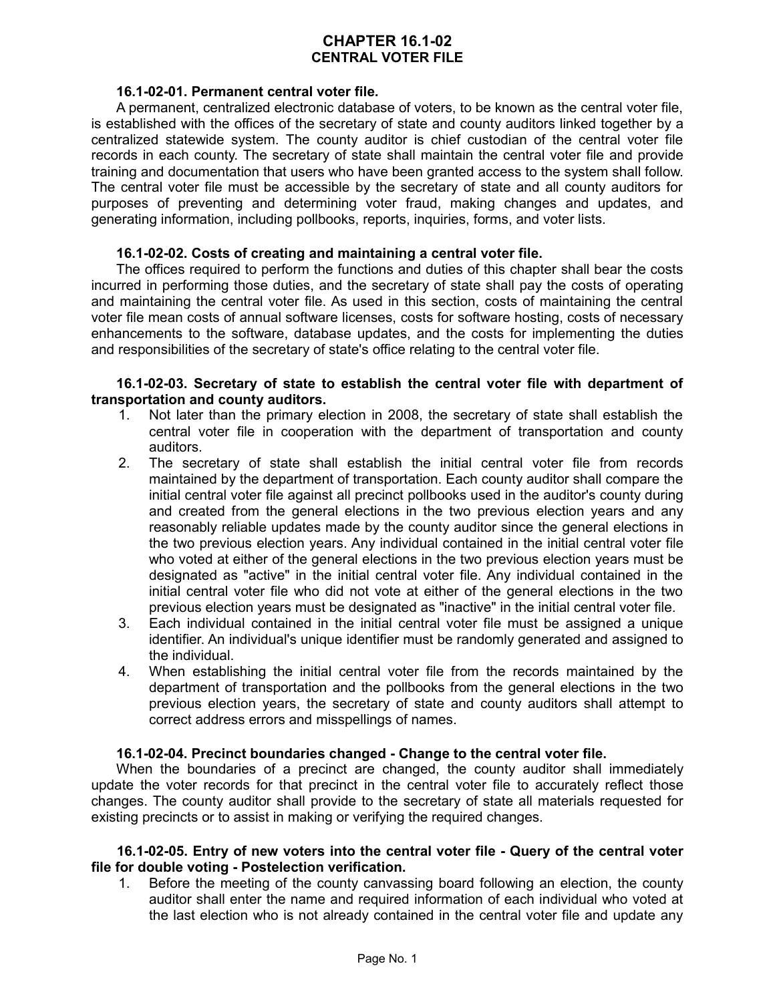## **CHAPTER 16.1-02 CENTRAL VOTER FILE**

### **16.1-02-01. Permanent central voter file.**

A permanent, centralized electronic database of voters, to be known as the central voter file, is established with the offices of the secretary of state and county auditors linked together by a centralized statewide system. The county auditor is chief custodian of the central voter file records in each county. The secretary of state shall maintain the central voter file and provide training and documentation that users who have been granted access to the system shall follow. The central voter file must be accessible by the secretary of state and all county auditors for purposes of preventing and determining voter fraud, making changes and updates, and generating information, including pollbooks, reports, inquiries, forms, and voter lists.

### **16.1-02-02. Costs of creating and maintaining a central voter file.**

The offices required to perform the functions and duties of this chapter shall bear the costs incurred in performing those duties, and the secretary of state shall pay the costs of operating and maintaining the central voter file. As used in this section, costs of maintaining the central voter file mean costs of annual software licenses, costs for software hosting, costs of necessary enhancements to the software, database updates, and the costs for implementing the duties and responsibilities of the secretary of state's office relating to the central voter file.

### **16.1-02-03. Secretary of state to establish the central voter file with department of transportation and county auditors.**

- 1. Not later than the primary election in 2008, the secretary of state shall establish the central voter file in cooperation with the department of transportation and county auditors.
- 2. The secretary of state shall establish the initial central voter file from records maintained by the department of transportation. Each county auditor shall compare the initial central voter file against all precinct pollbooks used in the auditor's county during and created from the general elections in the two previous election years and any reasonably reliable updates made by the county auditor since the general elections in the two previous election years. Any individual contained in the initial central voter file who voted at either of the general elections in the two previous election years must be designated as "active" in the initial central voter file. Any individual contained in the initial central voter file who did not vote at either of the general elections in the two previous election years must be designated as "inactive" in the initial central voter file.
- 3. Each individual contained in the initial central voter file must be assigned a unique identifier. An individual's unique identifier must be randomly generated and assigned to the individual.
- 4. When establishing the initial central voter file from the records maintained by the department of transportation and the pollbooks from the general elections in the two previous election years, the secretary of state and county auditors shall attempt to correct address errors and misspellings of names.

### **16.1-02-04. Precinct boundaries changed - Change to the central voter file.**

When the boundaries of a precinct are changed, the county auditor shall immediately update the voter records for that precinct in the central voter file to accurately reflect those changes. The county auditor shall provide to the secretary of state all materials requested for existing precincts or to assist in making or verifying the required changes.

### **16.1-02-05. Entry of new voters into the central voter file - Query of the central voter file for double voting - Postelection verification.**

1. Before the meeting of the county canvassing board following an election, the county auditor shall enter the name and required information of each individual who voted at the last election who is not already contained in the central voter file and update any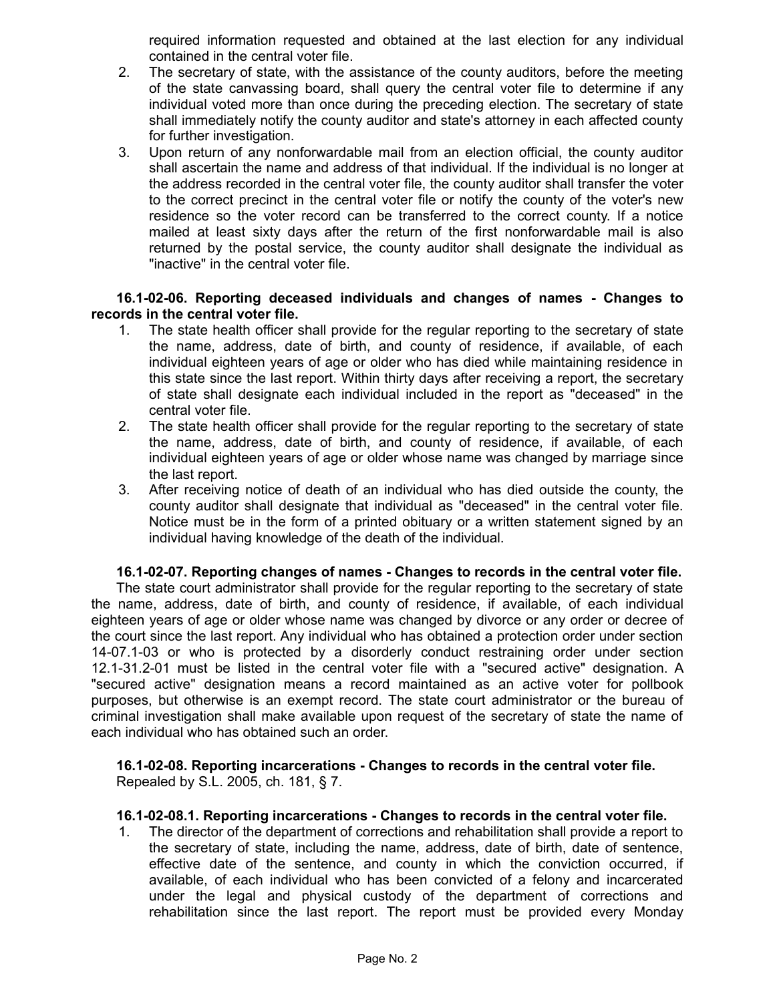required information requested and obtained at the last election for any individual contained in the central voter file.

- 2. The secretary of state, with the assistance of the county auditors, before the meeting of the state canvassing board, shall query the central voter file to determine if any individual voted more than once during the preceding election. The secretary of state shall immediately notify the county auditor and state's attorney in each affected county for further investigation.
- 3. Upon return of any nonforwardable mail from an election official, the county auditor shall ascertain the name and address of that individual. If the individual is no longer at the address recorded in the central voter file, the county auditor shall transfer the voter to the correct precinct in the central voter file or notify the county of the voter's new residence so the voter record can be transferred to the correct county. If a notice mailed at least sixty days after the return of the first nonforwardable mail is also returned by the postal service, the county auditor shall designate the individual as "inactive" in the central voter file.

## **16.1-02-06. Reporting deceased individuals and changes of names - Changes to records in the central voter file.**

- 1. The state health officer shall provide for the regular reporting to the secretary of state the name, address, date of birth, and county of residence, if available, of each individual eighteen years of age or older who has died while maintaining residence in this state since the last report. Within thirty days after receiving a report, the secretary of state shall designate each individual included in the report as "deceased" in the central voter file.
- 2. The state health officer shall provide for the regular reporting to the secretary of state the name, address, date of birth, and county of residence, if available, of each individual eighteen years of age or older whose name was changed by marriage since the last report.
- 3. After receiving notice of death of an individual who has died outside the county, the county auditor shall designate that individual as "deceased" in the central voter file. Notice must be in the form of a printed obituary or a written statement signed by an individual having knowledge of the death of the individual.

### **16.1-02-07. Reporting changes of names - Changes to records in the central voter file.**

The state court administrator shall provide for the regular reporting to the secretary of state the name, address, date of birth, and county of residence, if available, of each individual eighteen years of age or older whose name was changed by divorce or any order or decree of the court since the last report. Any individual who has obtained a protection order under section 14-07.1-03 or who is protected by a disorderly conduct restraining order under section 12.1-31.2-01 must be listed in the central voter file with a "secured active" designation. A "secured active" designation means a record maintained as an active voter for pollbook purposes, but otherwise is an exempt record. The state court administrator or the bureau of criminal investigation shall make available upon request of the secretary of state the name of each individual who has obtained such an order.

**16.1-02-08. Reporting incarcerations - Changes to records in the central voter file.** Repealed by S.L. 2005, ch. 181, § 7.

### **16.1-02-08.1. Reporting incarcerations - Changes to records in the central voter file.**

1. The director of the department of corrections and rehabilitation shall provide a report to the secretary of state, including the name, address, date of birth, date of sentence, effective date of the sentence, and county in which the conviction occurred, if available, of each individual who has been convicted of a felony and incarcerated under the legal and physical custody of the department of corrections and rehabilitation since the last report. The report must be provided every Monday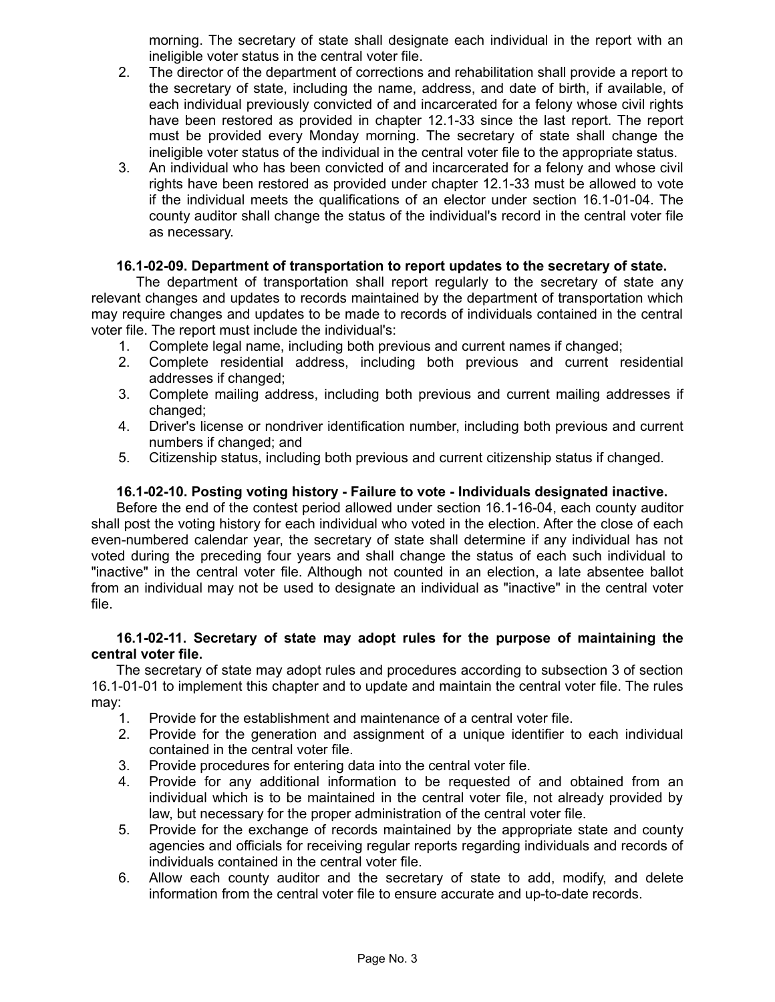morning. The secretary of state shall designate each individual in the report with an ineligible voter status in the central voter file.

- 2. The director of the department of corrections and rehabilitation shall provide a report to the secretary of state, including the name, address, and date of birth, if available, of each individual previously convicted of and incarcerated for a felony whose civil rights have been restored as provided in chapter 12.1-33 since the last report. The report must be provided every Monday morning. The secretary of state shall change the ineligible voter status of the individual in the central voter file to the appropriate status.
- 3. An individual who has been convicted of and incarcerated for a felony and whose civil rights have been restored as provided under chapter 12.1-33 must be allowed to vote if the individual meets the qualifications of an elector under section 16.1-01-04. The county auditor shall change the status of the individual's record in the central voter file as necessary.

## **16.1-02-09. Department of transportation to report updates to the secretary of state.**

The department of transportation shall report regularly to the secretary of state any relevant changes and updates to records maintained by the department of transportation which may require changes and updates to be made to records of individuals contained in the central voter file. The report must include the individual's:

- 1. Complete legal name, including both previous and current names if changed;
- 2. Complete residential address, including both previous and current residential addresses if changed;
- 3. Complete mailing address, including both previous and current mailing addresses if changed;
- 4. Driver's license or nondriver identification number, including both previous and current numbers if changed; and
- 5. Citizenship status, including both previous and current citizenship status if changed.

## **16.1-02-10. Posting voting history - Failure to vote - Individuals designated inactive.**

Before the end of the contest period allowed under section 16.1-16-04, each county auditor shall post the voting history for each individual who voted in the election. After the close of each even-numbered calendar year, the secretary of state shall determine if any individual has not voted during the preceding four years and shall change the status of each such individual to "inactive" in the central voter file. Although not counted in an election, a late absentee ballot from an individual may not be used to designate an individual as "inactive" in the central voter file.

## **16.1-02-11. Secretary of state may adopt rules for the purpose of maintaining the central voter file.**

The secretary of state may adopt rules and procedures according to subsection 3 of section 16.1-01-01 to implement this chapter and to update and maintain the central voter file. The rules may:

- 1. Provide for the establishment and maintenance of a central voter file.
- 2. Provide for the generation and assignment of a unique identifier to each individual contained in the central voter file.
- 3. Provide procedures for entering data into the central voter file.
- 4. Provide for any additional information to be requested of and obtained from an individual which is to be maintained in the central voter file, not already provided by law, but necessary for the proper administration of the central voter file.
- 5. Provide for the exchange of records maintained by the appropriate state and county agencies and officials for receiving regular reports regarding individuals and records of individuals contained in the central voter file.
- 6. Allow each county auditor and the secretary of state to add, modify, and delete information from the central voter file to ensure accurate and up-to-date records.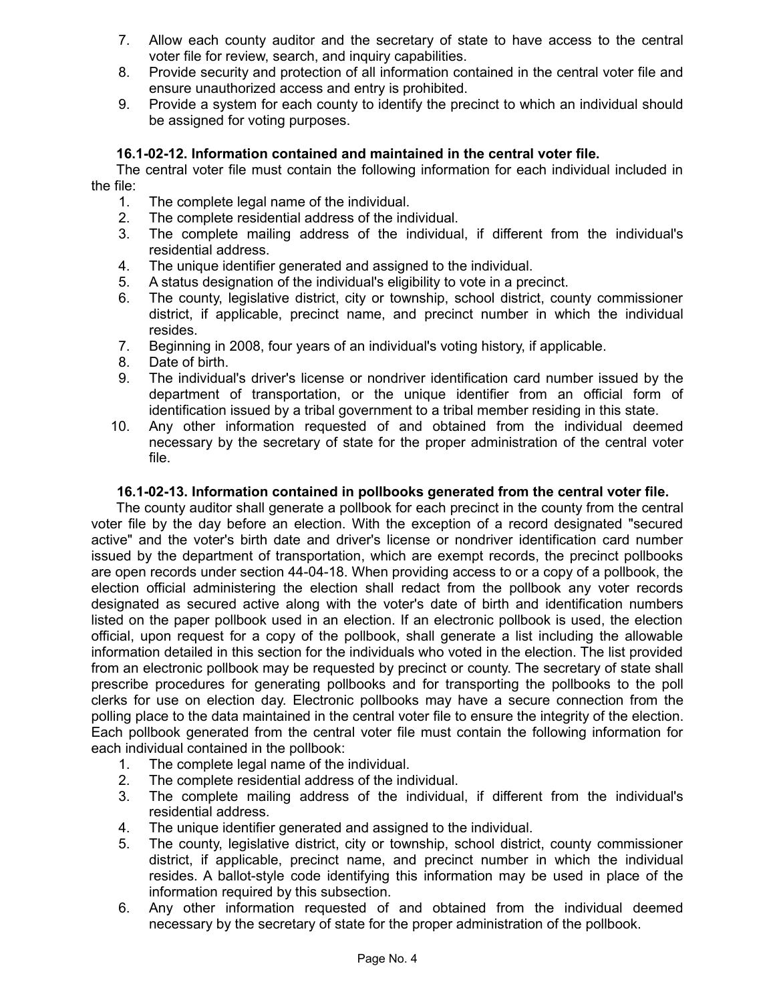- 7. Allow each county auditor and the secretary of state to have access to the central voter file for review, search, and inquiry capabilities.
- 8. Provide security and protection of all information contained in the central voter file and ensure unauthorized access and entry is prohibited.
- 9. Provide a system for each county to identify the precinct to which an individual should be assigned for voting purposes.

# **16.1-02-12. Information contained and maintained in the central voter file.**

The central voter file must contain the following information for each individual included in the file:

- 1. The complete legal name of the individual.
- 2. The complete residential address of the individual.
- 3. The complete mailing address of the individual, if different from the individual's residential address.
- 4. The unique identifier generated and assigned to the individual.
- 5. A status designation of the individual's eligibility to vote in a precinct.
- 6. The county, legislative district, city or township, school district, county commissioner district, if applicable, precinct name, and precinct number in which the individual resides.
- 7. Beginning in 2008, four years of an individual's voting history, if applicable.
- 8. Date of birth.
- 9. The individual's driver's license or nondriver identification card number issued by the department of transportation, or the unique identifier from an official form of identification issued by a tribal government to a tribal member residing in this state.
- 10. Any other information requested of and obtained from the individual deemed necessary by the secretary of state for the proper administration of the central voter file.

## **16.1-02-13. Information contained in pollbooks generated from the central voter file.**

The county auditor shall generate a pollbook for each precinct in the county from the central voter file by the day before an election. With the exception of a record designated "secured active" and the voter's birth date and driver's license or nondriver identification card number issued by the department of transportation, which are exempt records, the precinct pollbooks are open records under section 44-04-18. When providing access to or a copy of a pollbook, the election official administering the election shall redact from the pollbook any voter records designated as secured active along with the voter's date of birth and identification numbers listed on the paper pollbook used in an election. If an electronic pollbook is used, the election official, upon request for a copy of the pollbook, shall generate a list including the allowable information detailed in this section for the individuals who voted in the election. The list provided from an electronic pollbook may be requested by precinct or county. The secretary of state shall prescribe procedures for generating pollbooks and for transporting the pollbooks to the poll clerks for use on election day. Electronic pollbooks may have a secure connection from the polling place to the data maintained in the central voter file to ensure the integrity of the election. Each pollbook generated from the central voter file must contain the following information for each individual contained in the pollbook:

- 1. The complete legal name of the individual.
- 2. The complete residential address of the individual.
- 3. The complete mailing address of the individual, if different from the individual's residential address.
- 4. The unique identifier generated and assigned to the individual.
- 5. The county, legislative district, city or township, school district, county commissioner district, if applicable, precinct name, and precinct number in which the individual resides. A ballot-style code identifying this information may be used in place of the information required by this subsection.
- 6. Any other information requested of and obtained from the individual deemed necessary by the secretary of state for the proper administration of the pollbook.